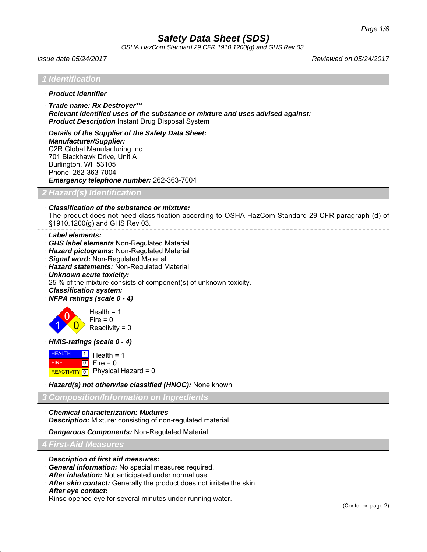*OSHA HazCom Standard 29 CFR 1910.1200(g) and GHS Rev 03.*

*Issue date 05/24/2017 Reviewed on 05/24/2017*

|                              | · Product Identifier                                                                                                                                                                                                                                                                                                                                                |
|------------------------------|---------------------------------------------------------------------------------------------------------------------------------------------------------------------------------------------------------------------------------------------------------------------------------------------------------------------------------------------------------------------|
|                              | · Trade name: Rx Destroyer™<br>$\cdot$ Relevant identified uses of the substance or mixture and uses advised against:<br>· Product Description Instant Drug Disposal System                                                                                                                                                                                         |
|                              | Details of the Supplier of the Safety Data Sheet:<br>· Manufacturer/Supplier:<br>C2R Global Manufacturing Inc.<br>701 Blackhawk Drive, Unit A<br>Burlington, WI 53105<br>Phone: 262-363-7004<br>Emergency telephone number: 262-363-7004                                                                                                                            |
|                              | ? Hazard(s) Identification                                                                                                                                                                                                                                                                                                                                          |
|                              | Classification of the substance or mixture:<br>The product does not need classification according to OSHA HazCom Standard 29 CFR paragraph (d) of<br>§1910.1200(g) and GHS Rev 03.                                                                                                                                                                                  |
|                              | · Label elements:<br>GHS label elements Non-Regulated Material<br>· Hazard pictograms: Non-Regulated Material<br>· Signal word: Non-Regulated Material<br>· Hazard statements: Non-Regulated Material<br>· Unknown acute toxicity:<br>25 % of the mixture consists of component(s) of unknown toxicity.<br>· Classification system:<br>· NFPA ratings (scale 0 - 4) |
|                              | Health = $1$<br>$Fire = 0$<br>Reactivity = $0$                                                                                                                                                                                                                                                                                                                      |
|                              | · HMIS-ratings (scale 0 - 4)                                                                                                                                                                                                                                                                                                                                        |
| <b>HEALTH</b><br><b>FIRE</b> | $\boxed{1}$<br>Health = $1$<br>$\boxed{0}$<br>Fire = $0$<br>REACTIVITY 0 Physical Hazard = 0                                                                                                                                                                                                                                                                        |
|                              | · Hazard(s) not otherwise classified (HNOC): None known                                                                                                                                                                                                                                                                                                             |
|                              | <b>Composition/Information on Ingredients</b>                                                                                                                                                                                                                                                                                                                       |
|                              | <b>Chemical characterization: Mixtures</b><br>· Description: Mixture: consisting of non-regulated material.                                                                                                                                                                                                                                                         |
|                              | · Dangerous Components: Non-Regulated Material                                                                                                                                                                                                                                                                                                                      |
|                              | <b>4 First-Aid Measures</b>                                                                                                                                                                                                                                                                                                                                         |

- · *General information:* No special measures required.
- · *After inhalation:* Not anticipated under normal use.
- · *After skin contact:* Generally the product does not irritate the skin.
- · *After eye contact:*

Rinse opened eye for several minutes under running water.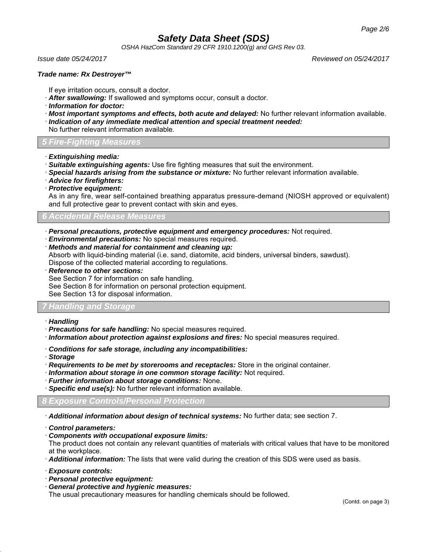*OSHA HazCom Standard 29 CFR 1910.1200(g) and GHS Rev 03.*

*Issue date 05/24/2017 Reviewed on 05/24/2017*

#### *Trade name: Rx Destroyer™*

- If eye irritation occurs, consult a doctor.
- · *After swallowing:* If swallowed and symptoms occur, consult a doctor.
- · *Information for doctor:*
- · *Most important symptoms and effects, both acute and delayed:* No further relevant information available.
- · *Indication of any immediate medical attention and special treatment needed:*
- No further relevant information available.

*5 Fire-Fighting Measures*

- · *Extinguishing media:*
- · *Suitable extinguishing agents:* Use fire fighting measures that suit the environment.
- · *Special hazards arising from the substance or mixture:* No further relevant information available.
- · *Advice for firefighters:*
- · *Protective equipment:*

As in any fire, wear self-contained breathing apparatus pressure-demand (NIOSH approved or equivalent) and full protective gear to prevent contact with skin and eyes.

### *6 Accidental Release Measures*

- · *Personal precautions, protective equipment and emergency procedures:* Not required.
- · *Environmental precautions:* No special measures required.
- · *Methods and material for containment and cleaning up:*

Absorb with liquid-binding material (i.e. sand, diatomite, acid binders, universal binders, sawdust). Dispose of the collected material according to regulations.

· *Reference to other sections:*

See Section 7 for information on safe handling.

See Section 8 for information on personal protection equipment.

See Section 13 for disposal information.

### *7 Handling and Storage*

- · *Handling*
- · *Precautions for safe handling:* No special measures required.
- · *Information about protection against explosions and fires:* No special measures required.
- · *Conditions for safe storage, including any incompatibilities:*
- · *Storage*
- · *Requirements to be met by storerooms and receptacles:* Store in the original container.
- · *Information about storage in one common storage facility:* Not required.
- · *Further information about storage conditions:* None.
- **Specific end use(s):** No further relevant information available.

#### *8 Exposure Controls/Personal Protection*

· *Additional information about design of technical systems:* No further data; see section 7.

· *Control parameters:*

· *Components with occupational exposure limits:*

The product does not contain any relevant quantities of materials with critical values that have to be monitored at the workplace.

- · *Additional information:* The lists that were valid during the creation of this SDS were used as basis.
- · *Exposure controls:*
- · *Personal protective equipment:*
- · *General protective and hygienic measures:*

The usual precautionary measures for handling chemicals should be followed.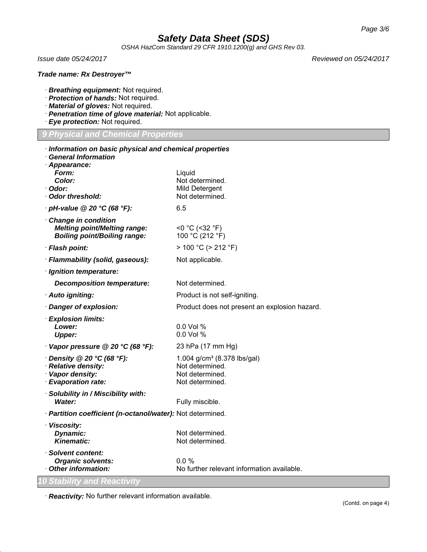*OSHA HazCom Standard 29 CFR 1910.1200(g) and GHS Rev 03.*

#### *Trade name: Rx Destroyer™*

- · *Breathing equipment:* Not required.
- · *Protection of hands:* Not required.
- · *Material of gloves:* Not required.
- · *Penetration time of glove material:* Not applicable.
- · *Eye protection:* Not required.

#### *9 Physical and Chemical Properties*

| Information on basic physical and chemical properties<br><b>General Information</b>                |                                                                                                  |  |  |  |
|----------------------------------------------------------------------------------------------------|--------------------------------------------------------------------------------------------------|--|--|--|
| · Appearance:<br>Form:<br>Color:<br>· Odor:<br>· Odor threshold:                                   | Liquid<br>Not determined.<br>Mild Detergent<br>Not determined.                                   |  |  |  |
| $\cdot$ pH-value @ 20 $\degree$ C (68 $\degree$ F):                                                | 6.5                                                                                              |  |  |  |
| Change in condition<br><b>Melting point/Melting range:</b><br><b>Boiling point/Boiling range:</b>  | $<$ 0 °C (<32 °F)<br>100 °C (212 °F)                                                             |  |  |  |
| · Flash point:                                                                                     | > 100 °C (> 212 °F)                                                                              |  |  |  |
| · Flammability (solid, gaseous):                                                                   | Not applicable.                                                                                  |  |  |  |
| · Ignition temperature:                                                                            |                                                                                                  |  |  |  |
| <b>Decomposition temperature:</b>                                                                  | Not determined.                                                                                  |  |  |  |
| · Auto igniting:                                                                                   | Product is not self-igniting.                                                                    |  |  |  |
| · Danger of explosion:                                                                             | Product does not present an explosion hazard.                                                    |  |  |  |
| · Explosion limits:<br>Lower:<br><b>Upper:</b>                                                     | 0.0 Vol %<br>$0.0$ Vol %                                                                         |  |  |  |
| Vapor pressure @ 20 °C (68 °F):                                                                    | 23 hPa (17 mm Hg)                                                                                |  |  |  |
| $\cdot$ Density @ 20 °C (68 °F):<br>· Relative density:<br>· Vapor density:<br>· Evaporation rate: | 1.004 g/cm <sup>3</sup> (8.378 lbs/gal)<br>Not determined.<br>Not determined.<br>Not determined. |  |  |  |
| · Solubility in / Miscibility with:<br>Water:                                                      | Fully miscible.                                                                                  |  |  |  |
| · Partition coefficient (n-octanol/water): Not determined.                                         |                                                                                                  |  |  |  |
| · Viscosity:<br>Dynamic:<br><b>Kinematic:</b>                                                      | Not determined.<br>Not determined.                                                               |  |  |  |
| · Solvent content:<br><b>Organic solvents:</b><br>Other information:                               | $0.0 \%$<br>No further relevant information available.                                           |  |  |  |
| 0 Stability and Reactivity                                                                         |                                                                                                  |  |  |  |

· *Reactivity:* No further relevant information available.

*Issue date 05/24/2017 Reviewed on 05/24/2017*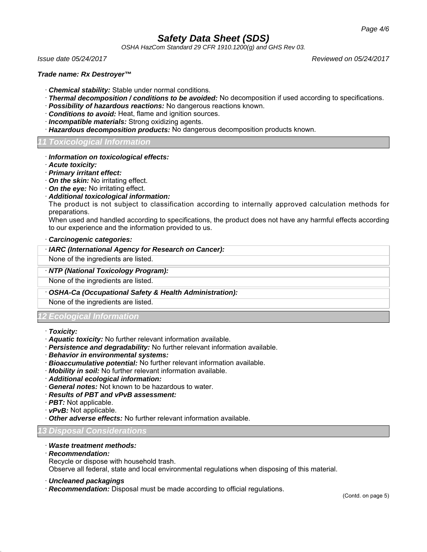*OSHA HazCom Standard 29 CFR 1910.1200(g) and GHS Rev 03.*

*Issue date 05/24/2017 Reviewed on 05/24/2017*

#### *Trade name: Rx Destroyer™*

- · *Chemical stability:* Stable under normal conditions.
- · *Thermal decomposition / conditions to be avoided:* No decomposition if used according to specifications.
- · *Possibility of hazardous reactions:* No dangerous reactions known.
- · *Conditions to avoid:* Heat, flame and ignition sources.
- · *Incompatible materials:* Strong oxidizing agents.
- · *Hazardous decomposition products:* No dangerous decomposition products known.

#### *11 Toxicological Information*

- · *Information on toxicological effects:*
- · *Acute toxicity:*
- · *Primary irritant effect:*
- · *On the skin:* No irritating effect.
- · *On the eye:* No irritating effect.
- · *Additional toxicological information:*

The product is not subject to classification according to internally approved calculation methods for preparations.

When used and handled according to specifications, the product does not have any harmful effects according to our experience and the information provided to us.

#### · *Carcinogenic categories:*

· *IARC (International Agency for Research on Cancer):*

None of the ingredients are listed.

#### · *NTP (National Toxicology Program):*

None of the ingredients are listed.

· *OSHA-Ca (Occupational Safety & Health Administration):*

None of the ingredients are listed.

### *12 Ecological Information*

- · *Toxicity:*
- · *Aquatic toxicity:* No further relevant information available.
- · *Persistence and degradability:* No further relevant information available.
- · *Behavior in environmental systems:*
- · *Bioaccumulative potential:* No further relevant information available.
- · *Mobility in soil:* No further relevant information available.
- · *Additional ecological information:*
- · *General notes:* Not known to be hazardous to water.
- · *Results of PBT and vPvB assessment:*
- · *PBT:* Not applicable.
- · *vPvB:* Not applicable.
- · *Other adverse effects:* No further relevant information available.

*13 Disposal Considerations*

#### · *Waste treatment methods:*

· *Recommendation:*

Recycle or dispose with household trash.

Observe all federal, state and local environmental regulations when disposing of this material.

- · *Uncleaned packagings*
- · *Recommendation:* Disposal must be made according to official regulations.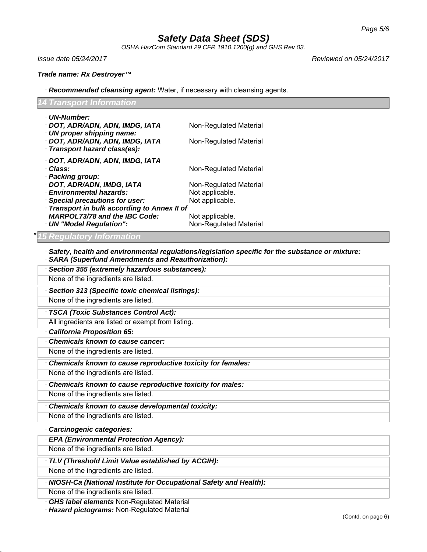*OSHA HazCom Standard 29 CFR 1910.1200(g) and GHS Rev 03.*

*Issue date 05/24/2017 Reviewed on 05/24/2017*

*Trade name: Rx Destroyer™*

· *Recommended cleansing agent:* Water, if necessary with cleansing agents.

| Transport Information                                                                                                                                                                                       |                                                                                        |  |  |
|-------------------------------------------------------------------------------------------------------------------------------------------------------------------------------------------------------------|----------------------------------------------------------------------------------------|--|--|
| · UN-Number:<br>· DOT, ADR/ADN, ADN, IMDG, IATA<br>· UN proper shipping name:<br>· DOT, ADR/ADN, ADN, IMDG, IATA<br>Transport hazard class(es):                                                             | Non-Regulated Material<br>Non-Regulated Material                                       |  |  |
| · DOT, ADR/ADN, ADN, IMDG, IATA<br>Class:<br>· Packing group:<br>DOT, ADR/ADN, IMDG, IATA<br>· Environmental hazards:<br><b>Special precautions for user:</b><br>Transport in bulk according to Annex II of | Non-Regulated Material<br>Non-Regulated Material<br>Not applicable.<br>Not applicable. |  |  |
| <b>MARPOL73/78 and the IBC Code:</b><br>· UN "Model Regulation":                                                                                                                                            | Not applicable.<br>Non-Regulated Material                                              |  |  |
| <b>SARA (Superfund Amendments and Reauthorization):</b><br>· Section 355 (extremely hazardous substances):<br>None of the ingredients are listed.<br>· Section 313 (Specific toxic chemical listings):      |                                                                                        |  |  |
| None of the ingredients are listed.                                                                                                                                                                         |                                                                                        |  |  |
| · TSCA (Toxic Substances Control Act):<br>All ingredients are listed or exempt from listing.                                                                                                                |                                                                                        |  |  |
| California Proposition 65:<br>Chemicals known to cause cancer:<br>None of the ingredients are listed.                                                                                                       |                                                                                        |  |  |
| Chemicals known to cause reproductive toxicity for females:                                                                                                                                                 |                                                                                        |  |  |
| None of the ingredients are listed.<br>Chemicals known to cause reproductive toxicity for males:                                                                                                            |                                                                                        |  |  |
| None of the ingredients are listed.                                                                                                                                                                         |                                                                                        |  |  |
| Chemicals known to cause developmental toxicity:<br>None of the ingredients are listed.                                                                                                                     |                                                                                        |  |  |
| Carcinogenic categories:                                                                                                                                                                                    |                                                                                        |  |  |

## · *EPA (Environmental Protection Agency):*

None of the ingredients are listed.

#### · *TLV (Threshold Limit Value established by ACGIH):*

None of the ingredients are listed.

· *NIOSH-Ca (National Institute for Occupational Safety and Health):*

None of the ingredients are listed.

· *GHS label elements* Non-Regulated Material

· *Hazard pictograms:* Non-Regulated Material